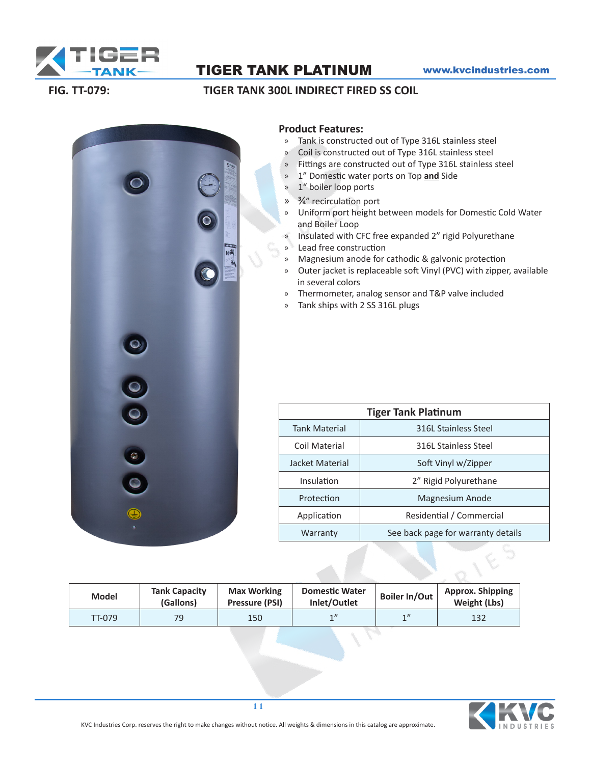

# TIGER TANK PLATINUM www.kvcindustries.com

## **FIG. TT-079: TIGER TANK 300L INDIRECT FIRED SS COIL**



### **Product Features:**

- » Tank is constructed out of Type 316L stainless steel
- » Coil is constructed out of Type 316L stainless steel
- » Fittings are constructed out of Type 316L stainless steel
- » 1" Domestic water ports on Top **and** Side
- » 1" boiler loop ports
- » 3/4" recirculation port
- » Uniform port height between models for Domestic Cold Water and Boiler Loop
- » Insulated with CFC free expanded 2" rigid Polyurethane
- » Lead free construction
- » Magnesium anode for cathodic & galvonic protection
- » Outer jacket is replaceable soft Vinyl (PVC) with zipper, available in several colors
- » Thermometer, analog sensor and T&P valve included
- » Tank ships with 2 SS 316L plugs

| <b>Tiger Tank Platinum</b> |                                    |  |  |  |  |  |
|----------------------------|------------------------------------|--|--|--|--|--|
| <b>Tank Material</b>       | 316L Stainless Steel               |  |  |  |  |  |
| Coil Material              | 316L Stainless Steel               |  |  |  |  |  |
| Jacket Material            | Soft Vinyl w/Zipper                |  |  |  |  |  |
| <b>Insulation</b>          | 2" Rigid Polyurethane              |  |  |  |  |  |
| Protection                 | Magnesium Anode                    |  |  |  |  |  |
| Application                | Residential / Commercial           |  |  |  |  |  |
| Warranty                   | See back page for warranty details |  |  |  |  |  |

| <b>Model</b> | <b>Tank Capacity</b><br>(Gallons) | <b>Max Working</b><br>Pressure (PSI) | <b>Domestic Water</b><br>Inlet/Outlet | Boiler In/Out | <b>Approx. Shipping</b><br>Weight (Lbs) |
|--------------|-----------------------------------|--------------------------------------|---------------------------------------|---------------|-----------------------------------------|
| TT-079       | 79                                | 150                                  | 1                                     | 1             | 132                                     |